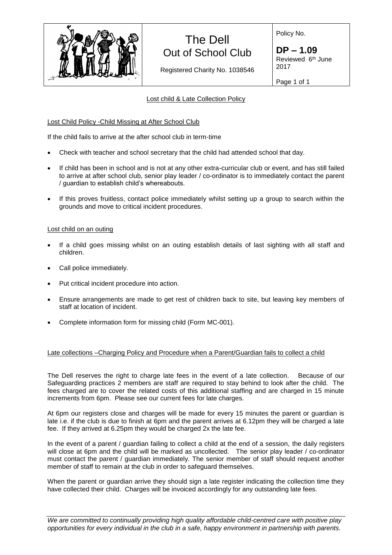

# The Dell Out of School Club

Registered Charity No. 1038546

Policy No.

**DP – 1.09** Reviewed 6<sup>th</sup> June 2017

Page 1 of 1

# Lost child & Late Collection Policy

# Lost Child Policy -Child Missing at After School Club

If the child fails to arrive at the after school club in term-time

- Check with teacher and school secretary that the child had attended school that day.
- If child has been in school and is not at any other extra-curricular club or event, and has still failed to arrive at after school club, senior play leader / co-ordinator is to immediately contact the parent / guardian to establish child's whereabouts.
- If this proves fruitless, contact police immediately whilst setting up a group to search within the grounds and move to critical incident procedures.

### Lost child on an outing

- If a child goes missing whilst on an outing establish details of last sighting with all staff and children.
- Call police immediately.
- Put critical incident procedure into action.
- Ensure arrangements are made to get rest of children back to site, but leaving key members of staff at location of incident.
- Complete information form for missing child (Form MC-001).

### Late collections –Charging Policy and Procedure when a Parent/Guardian fails to collect a child

The Dell reserves the right to charge late fees in the event of a late collection. Because of our Safeguarding practices 2 members are staff are required to stay behind to look after the child. The fees charged are to cover the related costs of this additional staffing and are charged in 15 minute increments from 6pm. Please see our current fees for late charges.

At 6pm our registers close and charges will be made for every 15 minutes the parent or guardian is late i.e. if the club is due to finish at 6pm and the parent arrives at 6.12pm they will be charged a late fee. If they arrived at 6.25pm they would be charged 2x the late fee.

In the event of a parent / guardian failing to collect a child at the end of a session, the daily registers will close at 6pm and the child will be marked as uncollected. The senior play leader / co-ordinator must contact the parent / guardian immediately. The senior member of staff should request another member of staff to remain at the club in order to safeguard themselves.

When the parent or guardian arrive they should sign a late register indicating the collection time they have collected their child. Charges will be invoiced accordingly for any outstanding late fees.